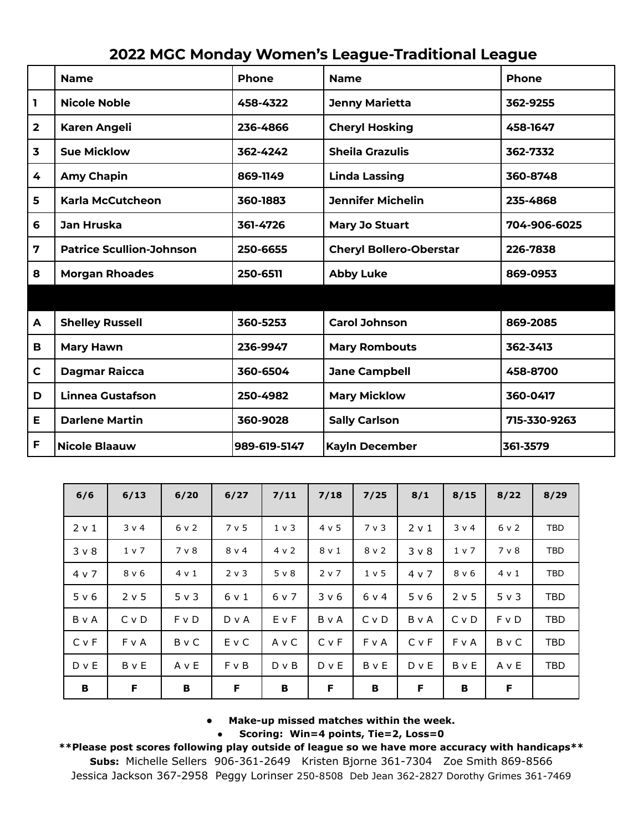|                         | <b>Name</b>                     | <b>Phone</b> | <b>Name</b>                    | Phone        |  |
|-------------------------|---------------------------------|--------------|--------------------------------|--------------|--|
| ı                       | <b>Nicole Noble</b>             | 458-4322     | <b>Jenny Marietta</b>          | 362-9255     |  |
| $\overline{\mathbf{2}}$ | <b>Karen Angeli</b>             | 236-4866     | <b>Cheryl Hosking</b>          | 458-1647     |  |
| 3                       | <b>Sue Micklow</b>              | 362-4242     | <b>Sheila Grazulis</b>         | 362-7332     |  |
| 4                       | <b>Amy Chapin</b>               | 869-1149     | <b>Linda Lassing</b>           | 360-8748     |  |
| 5                       | Karla McCutcheon                | 360-1883     | <b>Jennifer Michelin</b>       | 235-4868     |  |
| 6                       | Jan Hruska                      | 361-4726     | <b>Mary Jo Stuart</b>          | 704-906-6025 |  |
| 7                       | <b>Patrice Scullion-Johnson</b> | 250-6655     | <b>Cheryl Bollero-Oberstar</b> | 226-7838     |  |
| 8                       | <b>Morgan Rhoades</b>           | 250-6511     | <b>Abby Luke</b>               | 869-0953     |  |
|                         |                                 |              |                                |              |  |
| A                       | <b>Shelley Russell</b>          | 360-5253     | <b>Carol Johnson</b>           | 869-2085     |  |
| в                       | <b>Mary Hawn</b>                | 236-9947     | <b>Mary Rombouts</b>           | 362-3413     |  |
| $\mathbf c$             | <b>Dagmar Raicca</b>            | 360-6504     | <b>Jane Campbell</b>           | 458-8700     |  |
| D                       | <b>Linnea Gustafson</b>         | 250-4982     | <b>Mary Micklow</b>            | 360-0417     |  |
| Е                       | <b>Darlene Martin</b>           | 360-9028     | <b>Sally Carlson</b>           | 715-330-9263 |  |
| F                       | <b>Nicole Blaauw</b>            | 989-619-5147 | <b>Kayln December</b>          | 361-3579     |  |

|  |  | <b>2022 MGC Monday Women's League-Traditional League</b> |  |
|--|--|----------------------------------------------------------|--|
|--|--|----------------------------------------------------------|--|

| 6/6          | 6/13  | 6/20         | 6/27       | 7/11           | 7/18  | 7/25  | 8/1        | 8/15       | 8/22       | 8/29       |
|--------------|-------|--------------|------------|----------------|-------|-------|------------|------------|------------|------------|
| $2 \vee 1$   | 3 v 4 | 6 v 2        | 7 v 5      | 1 <sub>v</sub> | 4 v 5 | 7 v 3 | 2 v 1      | $3 \vee 4$ | 6 v 2      | <b>TBD</b> |
| $3 \vee 8$   | 1 v 7 | 7 v 8        | $8 \vee 4$ | 4 v 2          | 8 v 1 | 8 v 2 | $3 \vee 8$ | 1 v 7      | 7 v 8      | <b>TBD</b> |
| 4 v 7        | 8 v 6 | 4 v 1        | 2 v 3      | 5 v 8          | 2 v 7 | 1 v 5 | 4 v 7      | 8 v 6      | 4 v 1      | <b>TBD</b> |
| 5 v 6        | 2 v 5 | 5 v 3        | 6 v 1      | 6 v 7          | 3 v 6 | 6 v 4 | 5 v 6      | $2 \vee 5$ | $5 \vee 3$ | <b>TBD</b> |
| BvA          | C v D | F v D        | $D \vee A$ | EvF            | BvA   | C v D | BvA        | C v D      | F v D      | TBD        |
| <b>C</b> v F | FvA   | <b>B</b> v C | EvC        | A v C          | C v F | FvA   | C v F      | F v A      | BvC        | <b>TBD</b> |
| $D$ v $E$    | B v E | AvE          | F v B      | $D \vee B$     | D v E | BvE   | $D$ v $E$  | BvE        | AvE        | TBD        |
| В            | F     | В            | F          | В              | F     | В     | F          | В          | F          |            |

**● Make-up missed matches within the week.**

**● Scoring: Win=4 points, Tie=2, Loss=0**

**\*\*Please post scores following play outside of league so we have more accuracy with handicaps\*\***

**Subs:** Michelle Sellers 906-361-2649 Kristen Bjorne 361-7304 Zoe Smith 869-8566 Jessica Jackson 367-2958 Peggy Lorinser 250-8508 Deb Jean 362-2827 Dorothy Grimes 361-7469